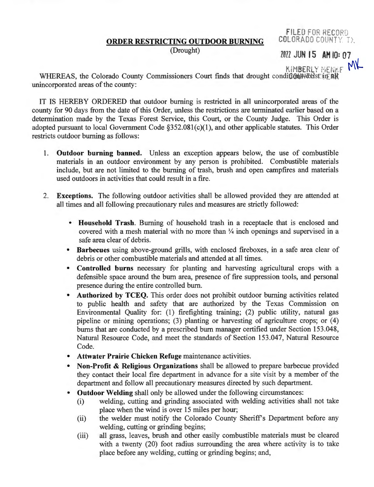FILED FOR RECORD **COLORADO COUNTY TY.** 

## **ORDER RESTRICTING OUTDOOR BURNING**

(Drought)

ZOZZ JUN 15 AM IQ: 07

 $n_{\text{KIMBERLY MEMF}}$  MK

WHEREAS, the Colorado County Commissioners Court finds that drought conditions axist in: all unincorporated areas of the county:

IT IS HEREBY ORDERED that outdoor burning is restricted in all unincorporated areas of the county for 90 days from the date of this Order, unless the restrictions are terminated earlier based on a determination made by the Texas Forest Service, this Court, or the County Judge. This Order is adopted pursuant to local Government Code §352.081(c)(1), and other applicable statutes. This Order restricts outdoor burning as follows:

- 1. **Outdoor burning banned.** Unless an exception appears below, the use of combustible materials in an outdoor environment by any person is prohibited. Combustible materials include, but are not limited to the burning of trash, brush and open campfires and materials used outdoors in activities that could result in a fire.
- 2. **Exceptions.** The following outdoor activities shall be allowed provided they are attended at all times and all following precautionary rules and measures are strictly followed:
	- **Household Trash.** Burning of household trash in a receptacle that is enclosed and covered with a mesh material with no more than  $\frac{1}{4}$  inch openings and supervised in a safe area clear of debris.
	- **Barbecues** using above-ground grills, with enclosed fireboxes, in a safe area clear of debris or other combustible materials and attended at all times.
	- **Controlled burns** necessary for planting and harvesting agricultural crops with a defensible space around the bum area, presence of fire suppression tools, and personal presence during the entire controlled bum.
	- **Authorized by TCEQ.** This order does not prohibit outdoor burning activities related to public health and safety that are authorized by the Texas Commission on Environmental Quality for: (1) firefighting training; (2) public utility, natural gas pipeline or mining operations; (3) planting or harvesting of agriculture crops; or (4) burns that are conducted by a prescribed bum manager certified under Section 153.048, Natural Resource Code, and meet the standards of Section 153.047, Natural Resource Code.
	- **Attwater Prairie Chicken Refuge** maintenance activities.
	- **Non-Profit** & **Religious Organizations** shall be allowed to prepare barbecue provided they contact their local fire department in advance for a site visit by a member of the department and follow all precautionary measures directed by such department.
	- **Outdoor Welding** shall only be allowed under the following circumstances:
		- (i) welding, cutting and grinding associated with welding activities shall not take place when the wind is over 15 miles per hour;
		- (ii) the welder must notify the Colorado County Sheriff's Department before any welding, cutting or grinding begins;
		- (iii) all grass, leaves, brush and other easily combustible materials must be cleared with a twenty (20) foot radius surrounding the area where activity is to take place before any welding, cutting or grinding begins; and,